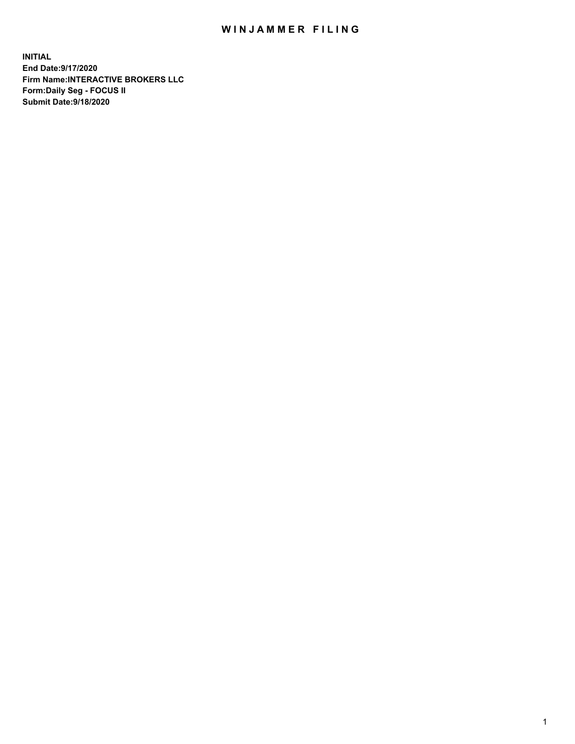## WIN JAMMER FILING

**INITIAL End Date:9/17/2020 Firm Name:INTERACTIVE BROKERS LLC Form:Daily Seg - FOCUS II Submit Date:9/18/2020**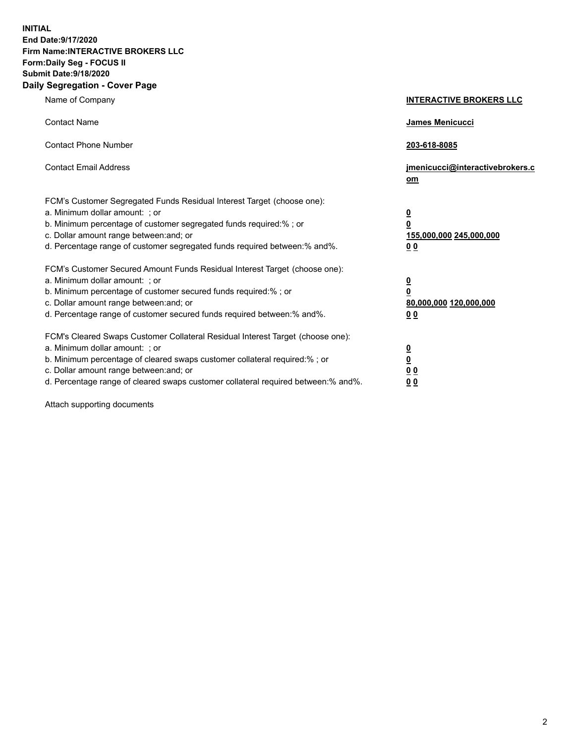**INITIAL End Date:9/17/2020 Firm Name:INTERACTIVE BROKERS LLC Form:Daily Seg - FOCUS II Submit Date:9/18/2020 Daily Segregation - Cover Page**

| Name of Company                                                                                                                                                                                                                                                                                                                | <b>INTERACTIVE BROKERS LLC</b>                                                   |
|--------------------------------------------------------------------------------------------------------------------------------------------------------------------------------------------------------------------------------------------------------------------------------------------------------------------------------|----------------------------------------------------------------------------------|
| <b>Contact Name</b>                                                                                                                                                                                                                                                                                                            | James Menicucci                                                                  |
| <b>Contact Phone Number</b>                                                                                                                                                                                                                                                                                                    | 203-618-8085                                                                     |
| <b>Contact Email Address</b>                                                                                                                                                                                                                                                                                                   | jmenicucci@interactivebrokers.c<br>om                                            |
| FCM's Customer Segregated Funds Residual Interest Target (choose one):<br>a. Minimum dollar amount: ; or<br>b. Minimum percentage of customer segregated funds required:% ; or<br>c. Dollar amount range between: and; or<br>d. Percentage range of customer segregated funds required between:% and%.                         | <u>0</u><br>$\overline{\mathbf{0}}$<br>155,000,000 245,000,000<br>0 <sub>0</sub> |
| FCM's Customer Secured Amount Funds Residual Interest Target (choose one):<br>a. Minimum dollar amount: ; or<br>b. Minimum percentage of customer secured funds required:% ; or<br>c. Dollar amount range between: and; or<br>d. Percentage range of customer secured funds required between:% and%.                           | <u>0</u><br>$\overline{\mathbf{0}}$<br>80,000,000 120,000,000<br>0 <sub>0</sub>  |
| FCM's Cleared Swaps Customer Collateral Residual Interest Target (choose one):<br>a. Minimum dollar amount: ; or<br>b. Minimum percentage of cleared swaps customer collateral required:% ; or<br>c. Dollar amount range between: and; or<br>d. Percentage range of cleared swaps customer collateral required between:% and%. | <u>0</u><br>$\underline{\mathbf{0}}$<br>0 <sub>0</sub><br>0 <sub>0</sub>         |

Attach supporting documents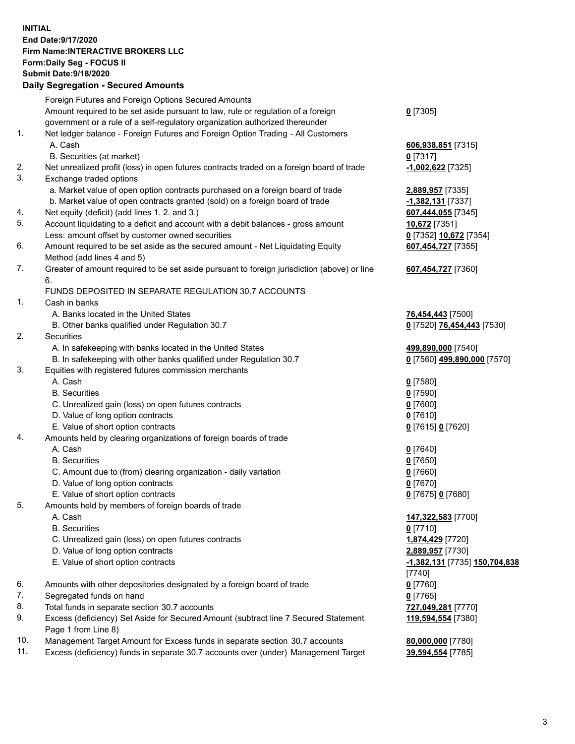**INITIAL End Date:9/17/2020 Firm Name:INTERACTIVE BROKERS LLC Form:Daily Seg - FOCUS II Submit Date:9/18/2020 Daily Segregation - Secured Amounts**

|     | Daily Ocglegation - Occuled Anioants                                                        |                               |
|-----|---------------------------------------------------------------------------------------------|-------------------------------|
|     | Foreign Futures and Foreign Options Secured Amounts                                         |                               |
|     | Amount required to be set aside pursuant to law, rule or regulation of a foreign            | $0$ [7305]                    |
|     | government or a rule of a self-regulatory organization authorized thereunder                |                               |
| 1.  | Net ledger balance - Foreign Futures and Foreign Option Trading - All Customers             |                               |
|     | A. Cash                                                                                     | 606,938,851 [7315]            |
|     | B. Securities (at market)                                                                   | $0$ [7317]                    |
| 2.  | Net unrealized profit (loss) in open futures contracts traded on a foreign board of trade   | -1,002,622 [7325]             |
| 3.  | Exchange traded options                                                                     |                               |
|     | a. Market value of open option contracts purchased on a foreign board of trade              | 2,889,957 [7335]              |
|     | b. Market value of open contracts granted (sold) on a foreign board of trade                | $-1,382,131$ [7337]           |
| 4.  | Net equity (deficit) (add lines 1. 2. and 3.)                                               | 607,444,055 [7345]            |
| 5.  | Account liquidating to a deficit and account with a debit balances - gross amount           | 10,672 [7351]                 |
|     | Less: amount offset by customer owned securities                                            | 0 [7352] 10,672 [7354]        |
| 6.  | Amount required to be set aside as the secured amount - Net Liquidating Equity              | 607,454,727 [7355]            |
|     | Method (add lines 4 and 5)                                                                  |                               |
| 7.  | Greater of amount required to be set aside pursuant to foreign jurisdiction (above) or line | 607,454,727 [7360]            |
|     | 6.                                                                                          |                               |
|     | FUNDS DEPOSITED IN SEPARATE REGULATION 30.7 ACCOUNTS                                        |                               |
| 1.  | Cash in banks                                                                               |                               |
|     | A. Banks located in the United States                                                       | 76,454,443 [7500]             |
|     | B. Other banks qualified under Regulation 30.7                                              | 0 [7520] 76,454,443 [7530]    |
| 2.  | Securities                                                                                  |                               |
|     | A. In safekeeping with banks located in the United States                                   | 499,890,000 [7540]            |
|     | B. In safekeeping with other banks qualified under Regulation 30.7                          | 0 [7560] 499,890,000 [7570]   |
| 3.  | Equities with registered futures commission merchants                                       |                               |
|     | A. Cash                                                                                     | $0$ [7580]                    |
|     | <b>B.</b> Securities                                                                        | $0$ [7590]                    |
|     | C. Unrealized gain (loss) on open futures contracts                                         | $0$ [7600]                    |
|     | D. Value of long option contracts                                                           | $0$ [7610]                    |
|     | E. Value of short option contracts                                                          | 0 [7615] 0 [7620]             |
| 4.  | Amounts held by clearing organizations of foreign boards of trade                           |                               |
|     | A. Cash                                                                                     | $0$ [7640]                    |
|     | <b>B.</b> Securities                                                                        | $0$ [7650]                    |
|     | C. Amount due to (from) clearing organization - daily variation                             | $0$ [7660]                    |
|     | D. Value of long option contracts                                                           | $0$ [7670]                    |
|     | E. Value of short option contracts                                                          | 0 [7675] 0 [7680]             |
| 5.  | Amounts held by members of foreign boards of trade                                          |                               |
|     | A. Cash                                                                                     | 147,322,583 [7700]            |
|     | <b>B.</b> Securities                                                                        | $0$ [7710]                    |
|     | C. Unrealized gain (loss) on open futures contracts                                         | 1,874,429 [7720]              |
|     | D. Value of long option contracts                                                           | 2,889,957 [7730]              |
|     | E. Value of short option contracts                                                          | -1,382,131 [7735] 150,704,838 |
|     |                                                                                             | $[7740]$                      |
| 6.  | Amounts with other depositories designated by a foreign board of trade                      | $0$ [7760]                    |
| 7.  | Segregated funds on hand                                                                    | $0$ [7765]                    |
| 8.  | Total funds in separate section 30.7 accounts                                               | 727,049,281 [7770]            |
| 9.  | Excess (deficiency) Set Aside for Secured Amount (subtract line 7 Secured Statement         |                               |
|     | Page 1 from Line 8)                                                                         | 119,594,554 [7380]            |
| 10. | Management Target Amount for Excess funds in separate section 30.7 accounts                 | 80,000,000 [7780]             |
| 11. | Excess (deficiency) funds in separate 30.7 accounts over (under) Management Target          | 39,594,554 [7785]             |
|     |                                                                                             |                               |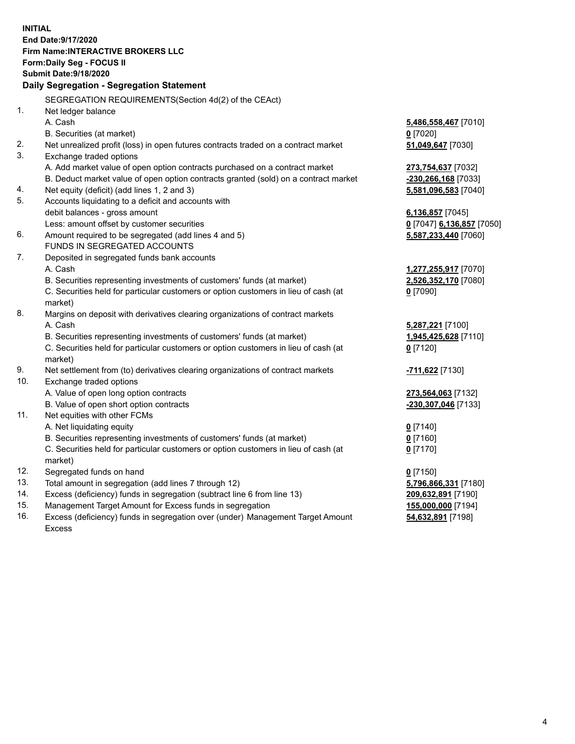**INITIAL End Date:9/17/2020 Firm Name:INTERACTIVE BROKERS LLC Form:Daily Seg - FOCUS II Submit Date:9/18/2020 Daily Segregation - Segregation Statement** SEGREGATION REQUIREMENTS(Section 4d(2) of the CEAct) 1. Net ledger balance A. Cash **5,486,558,467** [7010] B. Securities (at market) **0** [7020] 2. Net unrealized profit (loss) in open futures contracts traded on a contract market **51,049,647** [7030] 3. Exchange traded options A. Add market value of open option contracts purchased on a contract market **273,754,637** [7032] B. Deduct market value of open option contracts granted (sold) on a contract market **-230,266,168** [7033] 4. Net equity (deficit) (add lines 1, 2 and 3) **5,581,096,583** [7040] 5. Accounts liquidating to a deficit and accounts with debit balances - gross amount **6,136,857** [7045] Less: amount offset by customer securities **0** [7047] **6,136,857** [7050] 6. Amount required to be segregated (add lines 4 and 5) **5,587,233,440** [7060] FUNDS IN SEGREGATED ACCOUNTS 7. Deposited in segregated funds bank accounts A. Cash **1,277,255,917** [7070] B. Securities representing investments of customers' funds (at market) **2,526,352,170** [7080] C. Securities held for particular customers or option customers in lieu of cash (at market) **0** [7090] 8. Margins on deposit with derivatives clearing organizations of contract markets A. Cash **5,287,221** [7100] B. Securities representing investments of customers' funds (at market) **1,945,425,628** [7110] C. Securities held for particular customers or option customers in lieu of cash (at market) **0** [7120] 9. Net settlement from (to) derivatives clearing organizations of contract markets **-711,622** [7130] 10. Exchange traded options A. Value of open long option contracts **273,564,063** [7132] B. Value of open short option contracts **-230,307,046** [7133] 11. Net equities with other FCMs A. Net liquidating equity **0** [7140] B. Securities representing investments of customers' funds (at market) **0** [7160] C. Securities held for particular customers or option customers in lieu of cash (at market) **0** [7170] 12. Segregated funds on hand **0** [7150] 13. Total amount in segregation (add lines 7 through 12) **5,796,866,331** [7180] 14. Excess (deficiency) funds in segregation (subtract line 6 from line 13) **209,632,891** [7190] 15. Management Target Amount for Excess funds in segregation **155,000,000** [7194] 16. Excess (deficiency) funds in segregation over (under) Management Target Amount **54,632,891** [7198]

Excess